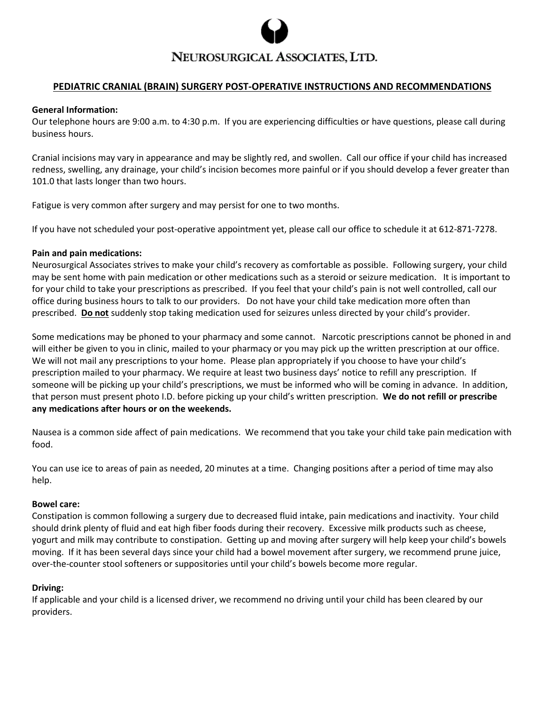

# NEUROSURGICAL ASSOCIATES, LTD.

## **PEDIATRIC CRANIAL (BRAIN) SURGERY POST-OPERATIVE INSTRUCTIONS AND RECOMMENDATIONS**

#### **General Information:**

Our telephone hours are 9:00 a.m. to 4:30 p.m. If you are experiencing difficulties or have questions, please call during business hours.

Cranial incisions may vary in appearance and may be slightly red, and swollen. Call our office if your child has increased redness, swelling, any drainage, your child's incision becomes more painful or if you should develop a fever greater than 101.0 that lasts longer than two hours.

Fatigue is very common after surgery and may persist for one to two months.

If you have not scheduled your post-operative appointment yet, please call our office to schedule it at 612-871-7278.

#### **Pain and pain medications:**

Neurosurgical Associates strives to make your child's recovery as comfortable as possible. Following surgery, your child may be sent home with pain medication or other medications such as a steroid or seizure medication. It is important to for your child to take your prescriptions as prescribed. If you feel that your child's pain is not well controlled, call our office during business hours to talk to our providers. Do not have your child take medication more often than prescribed. **Do not** suddenly stop taking medication used for seizures unless directed by your child's provider.

Some medications may be phoned to your pharmacy and some cannot. Narcotic prescriptions cannot be phoned in and will either be given to you in clinic, mailed to your pharmacy or you may pick up the written prescription at our office. We will not mail any prescriptions to your home. Please plan appropriately if you choose to have your child's prescription mailed to your pharmacy. We require at least two business days' notice to refill any prescription. If someone will be picking up your child's prescriptions, we must be informed who will be coming in advance. In addition, that person must present photo I.D. before picking up your child's written prescription. **We do not refill or prescribe any medications after hours or on the weekends.** 

Nausea is a common side affect of pain medications. We recommend that you take your child take pain medication with food.

You can use ice to areas of pain as needed, 20 minutes at a time. Changing positions after a period of time may also help.

#### **Bowel care:**

Constipation is common following a surgery due to decreased fluid intake, pain medications and inactivity. Your child should drink plenty of fluid and eat high fiber foods during their recovery. Excessive milk products such as cheese, yogurt and milk may contribute to constipation. Getting up and moving after surgery will help keep your child's bowels moving. If it has been several days since your child had a bowel movement after surgery, we recommend prune juice, over-the-counter stool softeners or suppositories until your child's bowels become more regular.

#### **Driving:**

If applicable and your child is a licensed driver, we recommend no driving until your child has been cleared by our providers.